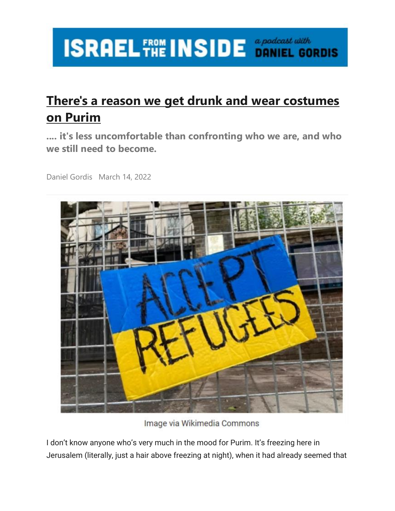## **ISRAEL FROM INSIDE** *Seperdicast with*

## **[There's a reason we get drunk and wear costumes](https://email.mg2.substack.com/c/eJxVkk1vozAQhn9NuIH8wUc4cOi2SkK30KabrZq9IGNPghMwxDal5Nev21x2pfGMxq9ejeVnOLNw7PWcDb2x3leq7DxApmAyLVgL2hsN6EqKDCcoWVK89EQWCryMlp401UEDdEy2mdUjeMNYt5IzK3v15SBpTFHiNRkmhMchIM5ITIHiqIaIxAQhTNM6icRtMBuFBMUhgw_Qc6_Aa7PG2sEs6N2CrFwIpiS07r1CmsCMtbGMnwPed04b3LENaDA-8zUw0yt_Av8I1hd6VGefKbGgK9ufQS3oA8yPmJO3-Z205_zUf5bXO_r8UHw-30-Sr9OrWKXDn_s8Lnd3c7Hbh-WuMHnXNsLduR6V15wUp_O1_DVJ9u66Uy_55k0-7fKoPBVTOecmVyXeyzzO1Y8PTreWd2_Nnr4ONQnlYRsUm5fL0zlFZbF8xJvX435Xpd16e01Pv4sH_0XJZH_5uaZmoydPZgQRgigOMUUoJAEJDigOGT6kMYsPcQ1JQLqL4s1wXISoO5L__sfTGZv6pq1Bf8nWSMXkt-CQVa52o5J2rkCxugVxo2lvS_HNtzqCAu2WRVTMZjgOE8cvpVFKyA2ewx0hguNlRD03WfTOpbJ_gf0FeoPQqw)  [on Purim](https://email.mg2.substack.com/c/eJxVkk1vozAQhn9NuIH8wUc4cOi2SkK30KabrZq9IGNPghMwxDal5Nev21x2pfGMxq9ejeVnOLNw7PWcDb2x3leq7DxApmAyLVgL2hsN6EqKDCcoWVK89EQWCryMlp401UEDdEy2mdUjeMNYt5IzK3v15SBpTFHiNRkmhMchIM5ITIHiqIaIxAQhTNM6icRtMBuFBMUhgw_Qc6_Aa7PG2sEs6N2CrFwIpiS07r1CmsCMtbGMnwPed04b3LENaDA-8zUw0yt_Av8I1hd6VGefKbGgK9ufQS3oA8yPmJO3-Z205_zUf5bXO_r8UHw-30-Sr9OrWKXDn_s8Lnd3c7Hbh-WuMHnXNsLduR6V15wUp_O1_DVJ9u66Uy_55k0-7fKoPBVTOecmVyXeyzzO1Y8PTreWd2_Nnr4ONQnlYRsUm5fL0zlFZbF8xJvX435Xpd16e01Pv4sH_0XJZH_5uaZmoydPZgQRgigOMUUoJAEJDigOGT6kMYsPcQ1JQLqL4s1wXISoO5L__sfTGZv6pq1Bf8nWSMXkt-CQVa52o5J2rkCxugVxo2lvS_HNtzqCAu2WRVTMZjgOE8cvpVFKyA2ewx0hguNlRD03WfTOpbJ_gf0FeoPQqw)**

**.... it's less uncomfortable than confronting who we are, and who we still need to become.**

Daniel Gordis March 14, 2022



Image via Wikimedia Commons

I don't know anyone who's very much in the mood for Purim. It's freezing here in Jerusalem (literally, just a hair above freezing at night), when it had already seemed that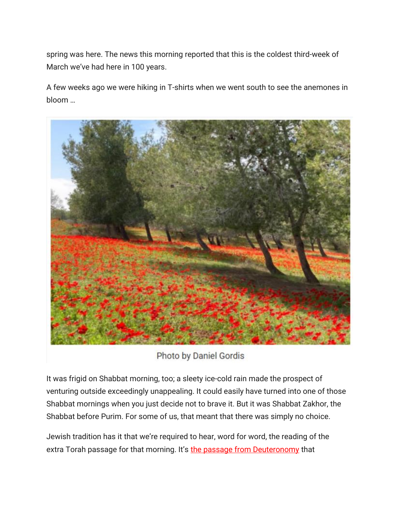spring was here. The news this morning reported that this is the coldest third-week of March we've had here in 100 years.

A few weeks ago we were hiking in T-shirts when we went south to see the anemones in bloom …



Photo by Daniel Gordis

It was frigid on Shabbat morning, too; a sleety ice-cold rain made the prospect of venturing outside exceedingly unappealing. It could easily have turned into one of those Shabbat mornings when you just decide not to brave it. But it was Shabbat Zakhor, the Shabbat before Purim. For some of us, that meant that there was simply no choice.

Jewish tradition has it that we're required to hear, word for word, the reading of the extra Torah passage for that morning. It's [the passage from Deuteronomy](https://email.mg2.substack.com/c/eJxNUc2OpiAQfBq5LeFHUQ8cNjOZwySTTLJzJwitkkVwAD_j2y_Od9mE0EDR1dVdRhdYYrrkHnNB96bKtYMMcGYPpUBCR4aknJW0J_3A6YCsbC0dugG5rOYEsGnnZUkHoP2YvDO6uBjuDDYKTnq0ynbigrbzRHohCBEtEdZwCiMMwlDDu2dhfVgHwYCEB6QrBkBerqXsueG_G_ZW13meOMOsk9M4pgU7Xx9f4agyY4jbhVmHaf-Ljg1_e0Bo-OvXCuolhgLbHpNOl_qqYW3Yi3qH0-VVff4n-U80Dsp1o6zKbJh4rFBJPtx30kobE5N1YVElqlJ5P3R-kgmvw1L_Ta6etXdXLPVGkJOMMEY4bSknpGWY4bl2r-k8Ci1mMUGP2fYdzLovTUu2heF8TLlo8xebuKEk9RlXP0G64ZJd0O4HqHNWNW5HcOVSEPTkwT4tKE8nf0xRCwRI1WGrdJFUtD0TbOTdyNhz4tWjjjAqho6jWtnGmhWk1cGBX-5m8z_zOLgI) that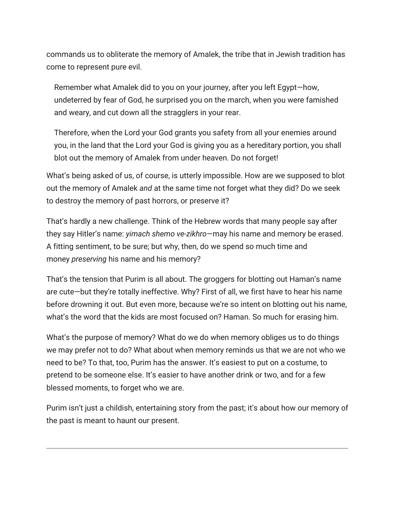commands us to obliterate the memory of Amalek, the tribe that in Jewish tradition has come to represent pure evil.

Remember what Amalek did to you on your journey, after you left Egypt—how, undeterred by fear of God, he surprised you on the march, when you were famished and weary, and cut down all the stragglers in your rear.

Therefore, when the Lord your God grants you safety from all your enemies around you, in the land that the Lord your God is giving you as a hereditary portion, you shall blot out the memory of Amalek from under heaven. Do not forget!

What's being asked of us, of course, is utterly impossible. How are we supposed to blot out the memory of Amalek *and* at the same time not forget what they did? Do we seek to destroy the memory of past horrors, or preserve it?

That's hardly a new challenge. Think of the Hebrew words that many people say after they say Hitler's name: *yimach shemo ve-zikhro*—may his name and memory be erased. A fitting sentiment, to be sure; but why, then, do we spend so much time and money *preserving* his name and his memory?

That's the tension that Purim is all about. The groggers for blotting out Haman's name are cute—but they're totally ineffective. Why? First of all, we first have to hear his name before drowning it out. But even more, because we're so intent on blotting out his name, what's the word that the kids are most focused on? Haman. So much for erasing him.

What's the purpose of memory? What do we do when memory obliges us to do things we may prefer not to do? What about when memory reminds us that we are not who we need to be? To that, too, Purim has the answer. It's easiest to put on a costume, to pretend to be someone else. It's easier to have another drink or two, and for a few blessed moments, to forget who we are.

Purim isn't just a childish, entertaining story from the past; it's about how our memory of the past is meant to haunt our present.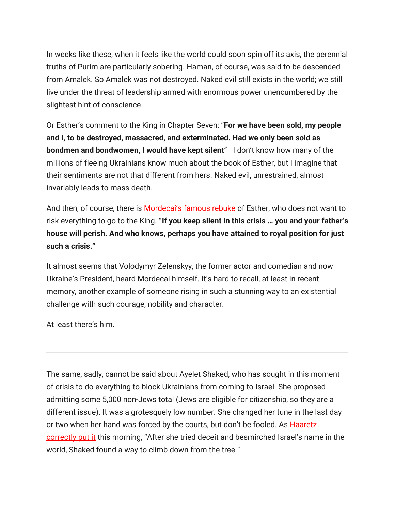In weeks like these, when it feels like the world could soon spin off its axis, the perennial truths of Purim are particularly sobering. Haman, of course, was said to be descended from Amalek. So Amalek was not destroyed. Naked evil still exists in the world; we still live under the threat of leadership armed with enormous power unencumbered by the slightest hint of conscience.

Or Esther's comment to the King in Chapter Seven: "**For we have been sold, my people and I, to be destroyed, massacred, and exterminated. Had we only been sold as bondmen and bondwomen, I would have kept silent**"—I don't know how many of the millions of fleeing Ukrainians know much about the book of Esther, but I imagine that their sentiments are not that different from hers. Naked evil, unrestrained, almost invariably leads to mass death.

And then, of course, there is **[Mordecai's famous rebuke](https://email.mg2.substack.com/c/eJwtUsFu5CAM_ZrkGBEgJHPgULVbVXtaqXNHTjABDSFZIBPl78vMVELG9vOTLT9PkHFe4ym3NeX6YVQ-N5QBj-QxZ4z1njAqp2Xbk35g7VBryXU7dEPtkjIRcQHnZY471ts-ejdBdmt4MOhFMNLXVo68g56bgRgjCJsEAyJ6ozvDeiMG3b4aw64dhgkl3jGea8DaS5vzlir2VtHP8o7jaBIaiA6aNc6N8yX5J2WLseFNyyv2ecdQsY8rBLjZwlNXi-pr9af6nqLb8h4xVfRdPSdNFrUaT_X333dFxd3iL3Oy6nDZqitUtKM9LOjUFyzuFktCeAhzKRxd8R9lxQfvfwFaIgy1k5RQSljLW0YIpw1tDBEcWnMRIIwYsW_o8j9MdpsrTpaZNmkfU4bp1kzrUkcJx2r9iPEB5-QCuCdQ5lblX_bg8qkwwOhRv5afXxo-5VAzBoxFW60gy1bwngp6Yd2F0teuizodoa0YOlaXznotrCA1BIe-3IN26QcDWbTt)** of Esther, who does not want to risk everything to go to the King. **"If you keep silent in this crisis … you and your father's house will perish. And who knows, perhaps you have attained to royal position for just such a crisis."**

It almost seems that Volodymyr Zelenskyy, the former actor and comedian and now Ukraine's President, heard Mordecai himself. It's hard to recall, at least in recent memory, another example of someone rising in such a stunning way to an existential challenge with such courage, nobility and character.

At least there's him.

The same, sadly, cannot be said about Ayelet Shaked, who has sought in this moment of crisis to do everything to block Ukrainians from coming to Israel. She proposed admitting some 5,000 non-Jews total (Jews are eligible for citizenship, so they are a different issue). It was a grotesquely low number. She changed her tune in the last day or two when her hand was forced by the courts, but don't be fooled. As **Haaretz** [correctly put it](https://email.mg2.substack.com/c/eJwlkU1rxCAQhn_Neqv4neTgoVC2W-ix96BxspEak6ppSH993Q2oIzPMvC_PDKbAfUmHXpdc0OPpy7GCjrDnAKVAQluG1HunaUOaltMWOS0cbWWLfO7HBDAbH3RJG6B1s8EPpvglPjpYpzhp0KRlQyi01vJByNY6IBKoBcHsMBoQBE5hszkPcQANv5COJQIKeiplzRf-emHXevZ9x5MxCcofHhbsQ809nNYAbjuF6x-vCWa_zfj28X77rPfrhWJKVMN4Sy_8Gkod-UaVqIlOSkpYg7xmhDHCqaCcEMEwwyNRwtCxU0aNykKD2fwTh2m9XwSZ7wznzeZihu9qZUZJm32ZgoX0KJfso_HPQmXS1zhv0Zejh2hsAHfiKif1J8D-DhFS3YbrTdFPb4p1XHaMnXQqT0kYVa3kqCq7pXZF7Uz0EOoGnc__i16X9Q) this morning, "After she tried deceit and besmirched Israel's name in the world, Shaked found a way to climb down from the tree."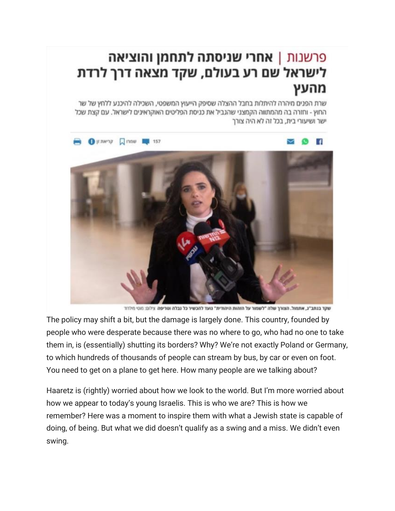## פרשנות | **אחרי שניסתה לתחמן והוציאה** לישראל שם רע בעולם, שקד מצאה דרך לרדת מהעץ

שרת הפנים מיהרה להיתלות בחבל ההצלה שסיפק הייעוץ המשפטי, השכילה להיכנע ללחץ של שר החוץ - וחזרה בה מהמתווה הקמצני שהגביל את כניסת הפליטים האוקראינים לישראל. עם קצת שכל ישר ושיעורי בית, בכל זה לא היה צורך



שקד בנתב"ג, אתמול. הצורך שלה "לשמור על הזהות היהודית" נועד להכשיר כל נבלה וטריפה צילום: מוטי מילרוד

The policy may shift a bit, but the damage is largely done. This country, founded by people who were desperate because there was no where to go, who had no one to take them in, is (essentially) shutting its borders? Why? We're not exactly Poland or Germany, to which hundreds of thousands of people can stream by bus, by car or even on foot. You need to get on a plane to get here. How many people are we talking about?

Haaretz is (rightly) worried about how we look to the world. But I'm more worried about how we appear to today's young Israelis. This is who we are? This is how we remember? Here was a moment to inspire them with what a Jewish state is capable of doing, of being. But what we did doesn't qualify as a swing and a miss. We didn't even swing.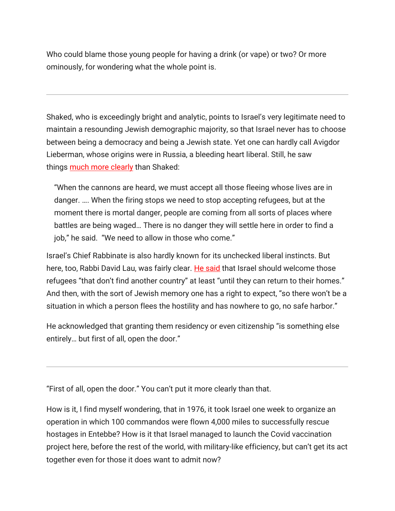Who could blame those young people for having a drink (or vape) or two? Or more ominously, for wondering what the whole point is.

Shaked, who is exceedingly bright and analytic, points to Israel's very legitimate need to maintain a resounding Jewish demographic majority, so that Israel never has to choose between being a democracy and being a Jewish state. Yet one can hardly call Avigdor Lieberman, whose origins were in Russia, a bleeding heart liberal. Still, he saw things [much more clearly](https://email.mg2.substack.com/c/eJwlkd2OpiAMhq_m4wwDqKgHHMzJ3oapUpVdBBfqGO9-cEyaNnmb_j2dgXCN6TZHzMQeN9J9oAl4ZY9EmNiZMY3OGtmJrq9lz6xprOzbnrk8LglxB-cNpRPZcU7ezUAuhqdCDboWHdtMLzvb4lzLRulWW2h136lpEAtCrYt7B8NpHYYZDX5jumNA5s1GdORP_fVRf4pd11WR2zHHxeUE6Ks57kX3cDjLM9yZvzrfIPM9JvDcnnRzirxcw114ROQhBv4XL5c3nnA5V8RcujBnlFBKlDVlLUSjKlUtQjcgl0GDXvSEXaX2_2HejvXTiH1VVT6nTDD_exZhycAVNz9hetKUXQD3myhcxhL3Mzi6RwwwebQvMnrJ_0IcVwyYykfsCGSkbjql1VC3g1IvocK0FUrqvq1ZmWxjqQrGQnDoyxetyz_ol588) than Shaked:

"When the cannons are heard, we must accept all those fleeing whose lives are in danger. …. When the firing stops we need to stop accepting refugees, but at the moment there is mortal danger, people are coming from all sorts of places where battles are being waged… There is no danger they will settle here in order to find a job," he said. "We need to allow in those who come."

Israel's Chief Rabbinate is also hardly known for its unchecked liberal instincts. But here, too, Rabbi David Lau, was fairly clear. [He said](https://email.mg2.substack.com/c/eJwlkd2OpiAMhq_m4wwDqKgHHMzJ3oapUpVdBBfqGO9-cEyaNnmb_j2dgXCN6TZHzMQeN9J9oAl4ZY9EmNiZMY3OGtmJrq9lz6xprOzbnrk8LglxB-cNpRPZcU7ezUAuhqdCDboWHdtMLzvb4lzLRulWW2h136lpEAtCrYt7B8NpHYYZDX5jumNA5s1GdORP_fVRf4pd11WR2zHHxeUE6Ks57kX3cDjLM9yZvzrfIPM9JvDcnnRzirxcw114ROQhBv4XL5c3nnA5V8RcujBnlFBKlDVlLUSjKlUtQjcgl0GDXvSEXaX2_2HejvXTiH1VVT6nTDD_exZhycAVNz9hetKUXQD3myhcxhL3Mzi6RwwwebQvMnrJ_0IcVwyYykfsCGSkbjql1VC3g1IvocK0FUrqvq1ZmWxjqQrGQnDoyxetyz_ol588) that Israel should welcome those refugees "that don't find another country" at least "until they can return to their homes." And then, with the sort of Jewish memory one has a right to expect, "so there won't be a situation in which a person flees the hostility and has nowhere to go, no safe harbor."

He acknowledged that granting them residency or even citizenship "is something else entirely… but first of all, open the door."

"First of all, open the door." You can't put it more clearly than that.

How is it, I find myself wondering, that in 1976, it took Israel one week to organize an operation in which 100 commandos were flown 4,000 miles to successfully rescue hostages in Entebbe? How is it that Israel managed to launch the Covid vaccination project here, before the rest of the world, with military-like efficiency, but can't get its act together even for those it does want to admit now?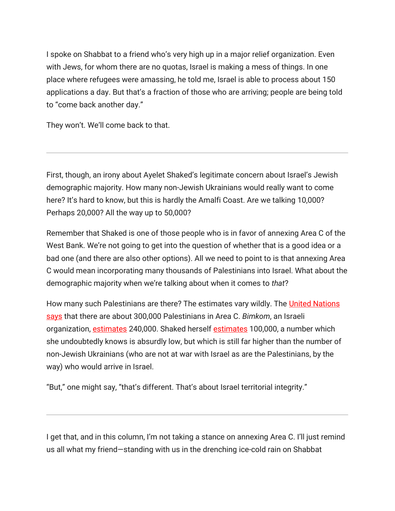I spoke on Shabbat to a friend who's very high up in a major relief organization. Even with Jews, for whom there are no quotas, Israel is making a mess of things. In one place where refugees were amassing, he told me, Israel is able to process about 150 applications a day. But that's a fraction of those who are arriving; people are being told to "come back another day."

They won't. We'll come back to that.

First, though, an irony about Ayelet Shaked's legitimate concern about Israel's Jewish demographic majority. How many non-Jewish Ukrainians would really want to come here? It's hard to know, but this is hardly the Amalfi Coast. Are we talking 10,000? Perhaps 20,000? All the way up to 50,000?

Remember that Shaked is one of those people who is in favor of annexing Area C of the West Bank. We're not going to get into the question of whether that is a good idea or a bad one (and there are also other options). All we need to point to is that annexing Area C would mean incorporating many thousands of Palestinians into Israel. What about the demographic majority when we're talking about when it comes to *that*?

How many such Palestinians are there? The estimates vary wildly. The United Nations [says](https://email.mg2.substack.com/c/eJwlkcGOhCAMhp9muGmgIOqBw172NQxIHZtFdAHHzD79MjNJ0yZtvvzJ19kWvO_paY49F_ZqU3keaCJeOWApmNiZMU3kjeh5P0gxMG-UF0M3MMrTkhA3S8GUdCI7ThdotoX2-CJg1JL3bDXCLwiOj8OgZK9BOue6sZthWZRc1Cg-wfb0hHFGgw9Mzz0iC2Yt5cg3-XWD71rXdbWrtQnLXzvvW920R8KNzq05YyM5_2kOGzAXimRjbgI9sKHYVMI2cyPaTsIIg2ZkgANwKZSolIIW2oVrZcUyaqsX7bBvYfuN83rcb4pvd2jz6XKx888rmCVjr30NDtPrXDJFS-9DNTDVuZ2RynPCaF1A_5FTPo7fuqY7RkzVvZ9sMUKrHjSMshsBPi6qvY6D0EMnWU32e6Wi8TYShvovT_kfkFSUXw) that there are about 300,000 Palestinians in Area C. *Bimkom*, an Israeli organization, [estimates](https://email.mg2.substack.com/c/eJwlUctuhDAM_JrNrSgvAhxy6KW_gUziQFRIaGK64u-b7UqWbXk0Gs3YAeGay23PXIm92kz3iTbhs-5IhIVdFcscvRUDH0YlRuat9mLsRxbrHAriAXG3VC5k57Xs0QHFnF4MORnFB7ZZI4CHUatxEouaFjeg8Eoro0IYgkD1FobLR0wOLf5iuXNCttuN6KwP9fmQX60OcFvNxxPIbV0uazthas3lRJiobVAQPhyLVnIpuRJaKM617GQXuNEgwmTABLPg0MnjJ7ntXB-aH6vs6rVUAvfduXywYuGZt33B8oKpxgTxH2gO5zaPK0W6Z0yw7Ojf5umd4X8c84oJS8vWz0BWGD1IIyfVT1K-vbZ0ei6FGXvFmrLPjZWshxRxb__wsf4B8tiKPQ) 240,000. Shaked herself [estimates](https://email.mg2.substack.com/c/eJwlkcFupiAUhZ_mZ6cBFNQFi1nMJN10MZOuzVWuyhTRwrXWty_2TwiEezkc-M4IhPMWL7Nvidg99XTtaAKeySMRRnYkjL2zRjS8aSvRMmtqK1rVMpf6KSKu4LyheCDbj8G7Echt4VbITle8YYuZhhZUJxrb2ooPdkClqkYpXYtJdNi2T2M4rMMwosFPjNcWkHmzEO3pUf16yD95nOdZ_r_PluO25v1LioC--O1xvD1TLv1b4B1t8boV4wL5suIVCcIFy1GczvsCQsCvIuWveVwxUMplWraDirfgKCv_unmhQnVNoyVzRnIpeSVqUXFey1KWE9c1iKnToCc9YFPK9SOMyz4_ar7OskzHkAjG9_uJLBo4t8UPGO82JRfA_TQyqT6v65FNrx4DDB7tEyI9s_jB2s8YMOaMbA9khK4bqWVXqU7KJ7NMWXEpdKsqlp3tllXBWAgOfc7VuvQNwO2kyw) 100,000, a number which she undoubtedly knows is absurdly low, but which is still far higher than the number of non-Jewish Ukrainians (who are not at war with Israel as are the Palestinians, by the way) who would arrive in Israel.

"But," one might say, "that's different. That's about Israel territorial integrity."

I get that, and in this column, I'm not taking a stance on annexing Area C. I'll just remind us all what my friend—standing with us in the drenching ice-cold rain on Shabbat